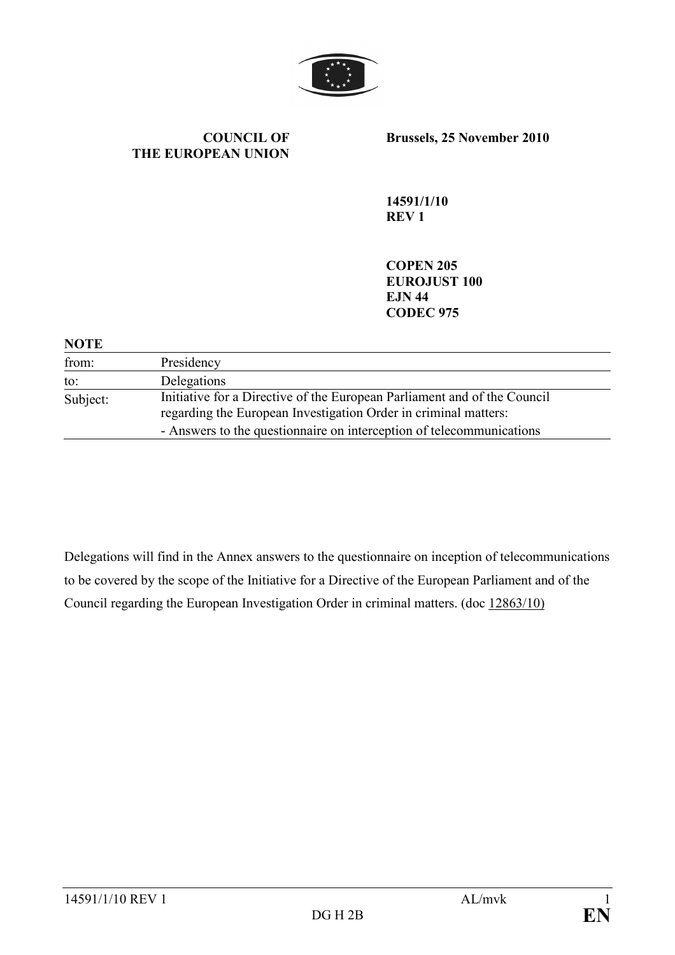

COUNCIL OF THE EUROPEAN UNION Brussels, 25 November 2010

14591/1/10 REV 1

COPEN 205 EUROJUST 100 EJN 44 CODEC 975

## **NOTE**

| from:    | Presidency                                                                                                                                  |
|----------|---------------------------------------------------------------------------------------------------------------------------------------------|
| to:      | Delegations                                                                                                                                 |
| Subject: | Initiative for a Directive of the European Parliament and of the Council<br>regarding the European Investigation Order in criminal matters: |
|          | - Answers to the questionnaire on interception of telecommunications                                                                        |

Delegations will find in the Annex answers to the questionnaire on inception of telecommunications to be covered by the scope of the Initiative for a Directive of the European Parliament and of the Council regarding the European Investigation Order in criminal matters. (doc 12863/10)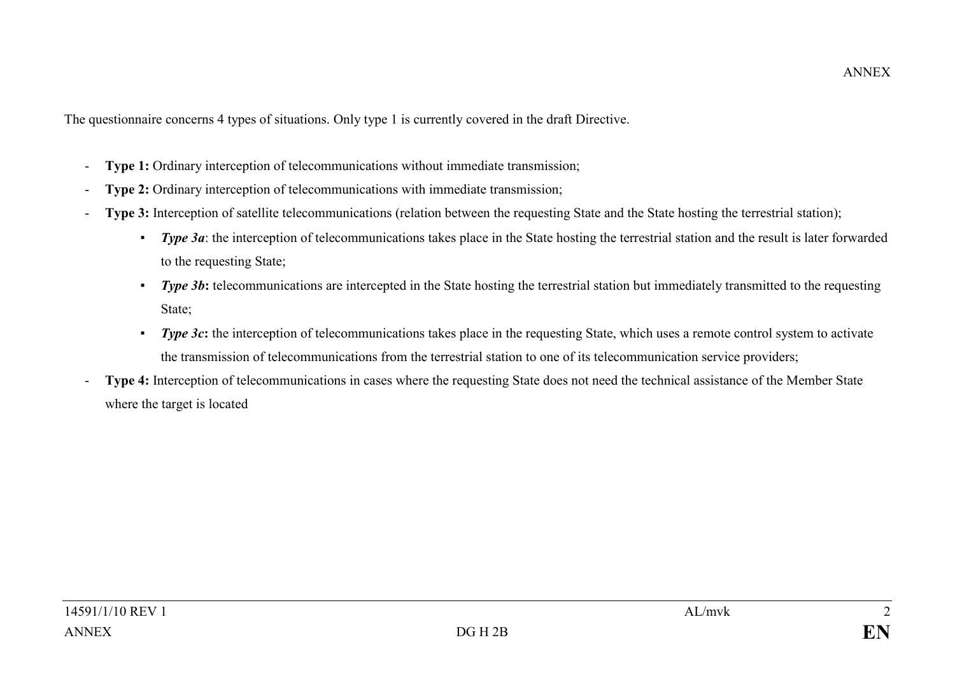The questionnaire concerns 4 types of situations. Only type 1 is currently covered in the draft Directive.<br>- Type 1: Ordinary interception of telecommunications without immediate transmission:

- Type 1: Ordinary interception of telecommunications without immediate transmission;
- Type 2: Ordinary interception of telecommunications with immediate transmission;
- Type 3: Interception of satellite telecommunications (relation between the requesting State and the State hosting the terrestrial station);
	- ▪Type 3a: the interception of telecommunications takes place in the State hosting the terrestrial station and the result is later forwarded to the requesting State;
	- ▪Type 3b: telecommunications are intercepted in the State hosting the terrestrial station but immediately transmitted to the requesting State;
	- ▪Type 3c: the interception of telecommunications takes place in the requesting State, which uses a remote control system to activate the transmission of telecommunications from the terrestrial station to one of its telecommunication service providers; -
- Type 4: Interception of telecommunications in cases where the requesting State does not need the technical assistance of the Member State where the target is located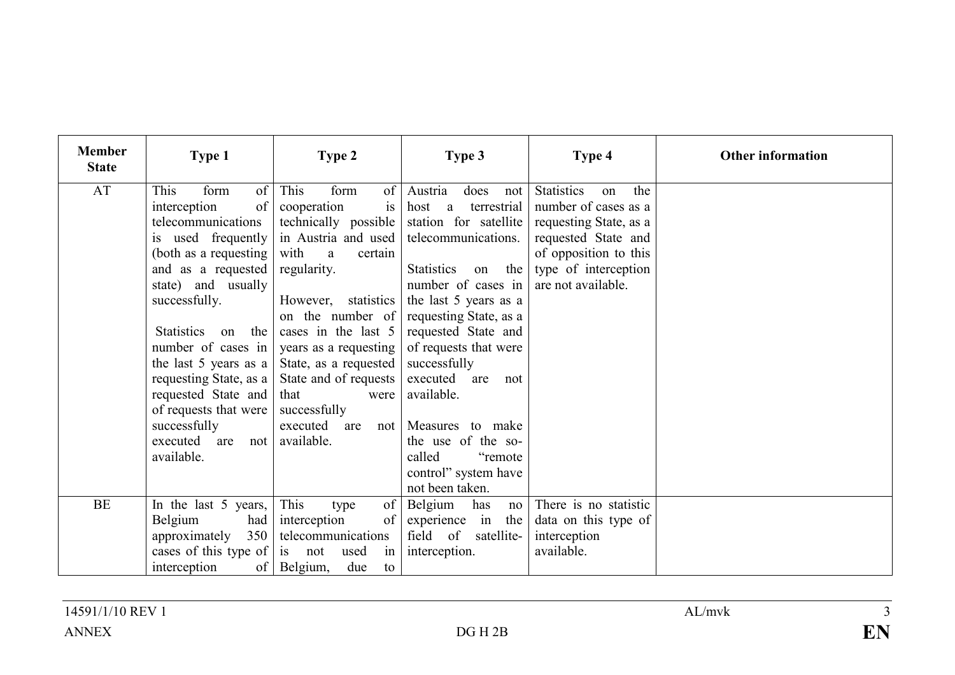| <b>Member</b><br><b>State</b> | Type 1                                                                                                                                                                                                                                                                                                                                                              | Type 2                                                                                                                                                                                                                                                                                                                                   | Type 3                                                                                                                                                                                                                                                                                                                                                    | Type 4                                                                                                                                                                         | <b>Other information</b> |
|-------------------------------|---------------------------------------------------------------------------------------------------------------------------------------------------------------------------------------------------------------------------------------------------------------------------------------------------------------------------------------------------------------------|------------------------------------------------------------------------------------------------------------------------------------------------------------------------------------------------------------------------------------------------------------------------------------------------------------------------------------------|-----------------------------------------------------------------------------------------------------------------------------------------------------------------------------------------------------------------------------------------------------------------------------------------------------------------------------------------------------------|--------------------------------------------------------------------------------------------------------------------------------------------------------------------------------|--------------------------|
| AT                            | This<br>form<br>of<br>of<br>interception<br>telecommunications<br>is used frequently<br>(both as a requesting)<br>and as a requested<br>state) and usually<br>successfully.<br>Statistics on<br>the<br>number of cases in<br>the last 5 years as a<br>requesting State, as a<br>requested State and<br>of requests that were<br>successfully<br>executed are<br>not | This<br>form<br>of<br>cooperation<br>is<br>technically possible<br>in Austria and used<br>with<br>a<br>certain<br>regularity.<br>However, statistics<br>on the number of<br>cases in the last 5<br>years as a requesting<br>State, as a requested<br>State and of requests<br>that<br>were<br>successfully<br>executed are<br>available. | Austria<br>does<br>not<br>terrestrial<br>host a<br>station for satellite<br>telecommunications.<br><b>Statistics</b><br>on the<br>number of cases in<br>the last 5 years as a<br>requesting State, as a<br>requested State and<br>of requests that were<br>successfully<br>executed are not<br>available.<br>not   Measures to make<br>the use of the so- | <b>Statistics</b><br>the<br>on<br>number of cases as a<br>requesting State, as a<br>requested State and<br>of opposition to this<br>type of interception<br>are not available. |                          |
|                               | available.                                                                                                                                                                                                                                                                                                                                                          |                                                                                                                                                                                                                                                                                                                                          | called<br>"remote"<br>control" system have<br>not been taken.                                                                                                                                                                                                                                                                                             |                                                                                                                                                                                |                          |
| <b>BE</b>                     | In the last 5 years,<br>Belgium<br>had<br>350<br>approximately<br>cases of this type of<br>interception<br>of                                                                                                                                                                                                                                                       | This<br>of<br>type<br>interception<br>of<br>telecommunications<br>is not<br>used<br>in<br>Belgium,<br>due<br>to                                                                                                                                                                                                                          | Belgium<br>has<br>no<br>experience in the<br>field of satellite-<br>interception.                                                                                                                                                                                                                                                                         | There is no statistic<br>data on this type of<br>interception<br>available.                                                                                                    |                          |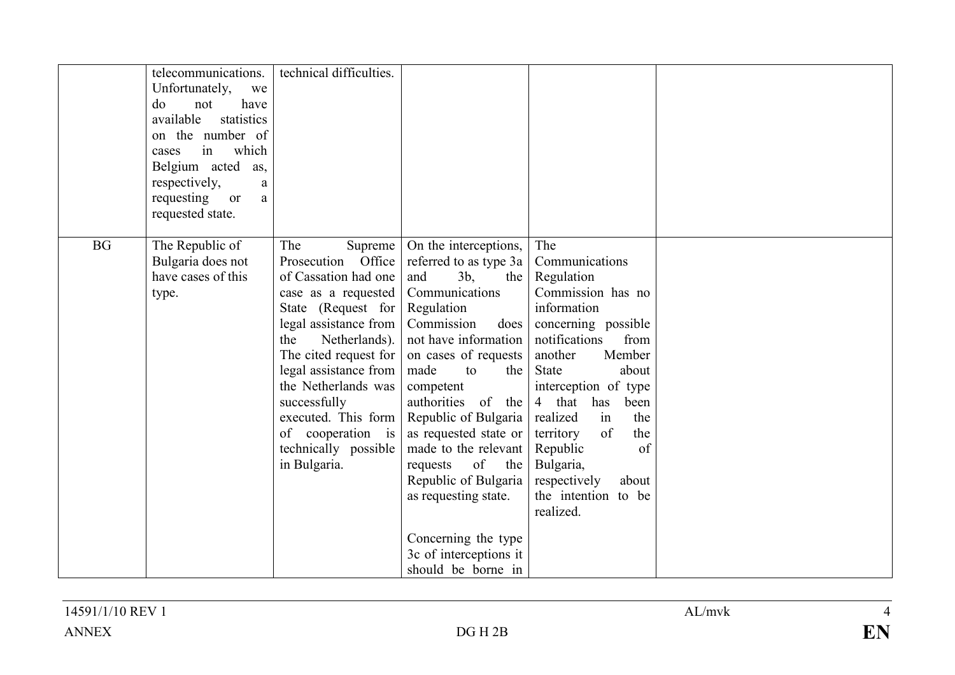|           | telecommunications.<br>Unfortunately,<br>we<br>do<br>not<br>have<br>available<br>statistics<br>on the number of<br>in<br>which<br>cases<br>Belgium acted<br>as,<br>respectively,<br>a<br>requesting<br><sub>or</sub><br>$\rm{a}$<br>requested state. | technical difficulties.                                                                                                                                                                                                                                                                                                                              |                                                                                                                                                                                                                                                                                                                                                                                                                                                       |                                                                                                                                                                                                                                                                                                                                                                    |  |
|-----------|------------------------------------------------------------------------------------------------------------------------------------------------------------------------------------------------------------------------------------------------------|------------------------------------------------------------------------------------------------------------------------------------------------------------------------------------------------------------------------------------------------------------------------------------------------------------------------------------------------------|-------------------------------------------------------------------------------------------------------------------------------------------------------------------------------------------------------------------------------------------------------------------------------------------------------------------------------------------------------------------------------------------------------------------------------------------------------|--------------------------------------------------------------------------------------------------------------------------------------------------------------------------------------------------------------------------------------------------------------------------------------------------------------------------------------------------------------------|--|
| <b>BG</b> | The Republic of<br>Bulgaria does not<br>have cases of this<br>type.                                                                                                                                                                                  | The<br>Supreme  <br>Prosecution Office<br>of Cassation had one<br>case as a requested<br>State (Request for Regulation<br>legal assistance from<br>Netherlands).<br>the<br>The cited request for<br>legal assistance from<br>the Netherlands was<br>successfully<br>executed. This form<br>of cooperation is<br>technically possible<br>in Bulgaria. | On the interceptions,<br>referred to as type 3a<br>3 <sub>b</sub><br>the<br>and<br>Communications<br>Commission<br>does<br>not have information<br>on cases of requests<br>made<br>the<br>to<br>competent<br>authorities of the<br>Republic of Bulgaria<br>as requested state or<br>made to the relevant<br>of the<br>requests<br>Republic of Bulgaria<br>as requesting state.<br>Concerning the type<br>3c of interceptions it<br>should be borne in | The<br>Communications<br>Regulation<br>Commission has no<br>information<br>concerning possible<br>notifications<br>from<br>another<br>Member<br><b>State</b><br>about<br>interception of type<br>4 that has<br>been<br>the<br>realized<br>in<br>territory<br>of<br>the<br>of<br>Republic<br>Bulgaria,<br>respectively<br>about<br>the intention to be<br>realized. |  |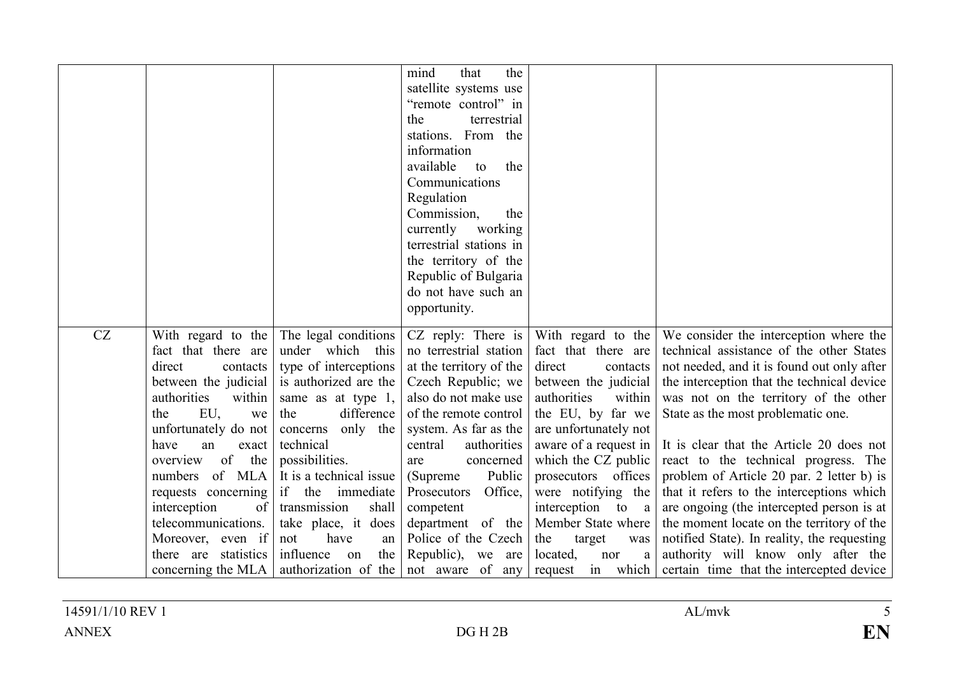|    |                                 |                                                              | the<br>mind<br>that     |                                 |                                                           |
|----|---------------------------------|--------------------------------------------------------------|-------------------------|---------------------------------|-----------------------------------------------------------|
|    |                                 |                                                              | satellite systems use   |                                 |                                                           |
|    |                                 |                                                              | "remote control" in     |                                 |                                                           |
|    |                                 |                                                              | terrestrial<br>the      |                                 |                                                           |
|    |                                 |                                                              | stations. From the      |                                 |                                                           |
|    |                                 |                                                              | information             |                                 |                                                           |
|    |                                 |                                                              | available<br>the<br>to  |                                 |                                                           |
|    |                                 |                                                              | Communications          |                                 |                                                           |
|    |                                 |                                                              | Regulation              |                                 |                                                           |
|    |                                 |                                                              | Commission,<br>the      |                                 |                                                           |
|    |                                 |                                                              | currently<br>working    |                                 |                                                           |
|    |                                 |                                                              | terrestrial stations in |                                 |                                                           |
|    |                                 |                                                              | the territory of the    |                                 |                                                           |
|    |                                 |                                                              | Republic of Bulgaria    |                                 |                                                           |
|    |                                 |                                                              | do not have such an     |                                 |                                                           |
|    |                                 |                                                              | opportunity.            |                                 |                                                           |
|    |                                 |                                                              |                         |                                 |                                                           |
| CZ | With regard to the              | The legal conditions                                         | CZ reply: There is      | With regard to the              | We consider the interception where the                    |
|    | fact that there are             | under which this                                             | no terrestrial station  | fact that there are             | technical assistance of the other States                  |
|    | direct<br>contacts              | type of interceptions                                        | at the territory of the | direct<br>contacts              | not needed, and it is found out only after                |
|    | between the judicial            | is authorized are the                                        | Czech Republic; we      | between the judicial            | the interception that the technical device                |
|    | authorities<br>within           | same as at type 1,                                           | also do not make use    | authorities<br>within           | was not on the territory of the other                     |
|    | EU,<br>the<br>we                | difference<br>the                                            | of the remote control   | the EU, by far we               | State as the most problematic one.                        |
|    | unfortunately do not            | concerns only the                                            | system. As far as the   | are unfortunately not           |                                                           |
|    | have<br>an<br>exact             | technical                                                    | central<br>authorities  | aware of a request in           | It is clear that the Article 20 does not                  |
|    | of<br>the<br>overview           | possibilities.                                               | concerned<br>are        | which the CZ public             | react to the technical progress. The                      |
|    | of MLA<br>numbers               | It is a technical issue                                      | Public<br>(Supreme)     | prosecutors offices             | problem of Article 20 par. 2 letter b) is                 |
|    | requests concerning             | if the immediate                                             | Office,<br>Prosecutors  | were notifying the              | that it refers to the interceptions which                 |
|    | interception<br>of <sub>1</sub> | transmission<br>shall                                        | competent               | interception to a               | are ongoing (the intercepted person is at                 |
|    | telecommunications.             | take place, it does                                          | department of the       | Member State where              | the moment locate on the territory of the                 |
|    | Moreover, even if               | have<br>not<br>an                                            | Police of the Czech     | the<br>target<br>was            | notified State). In reality, the requesting               |
|    | there are statistics            | influence on<br>the                                          | Republic), we are       | located,<br>nor<br>$\mathbf{a}$ | authority will know only after the                        |
|    |                                 | concerning the MLA   authorization of the   not aware of any |                         |                                 | request in which eertain time that the intercepted device |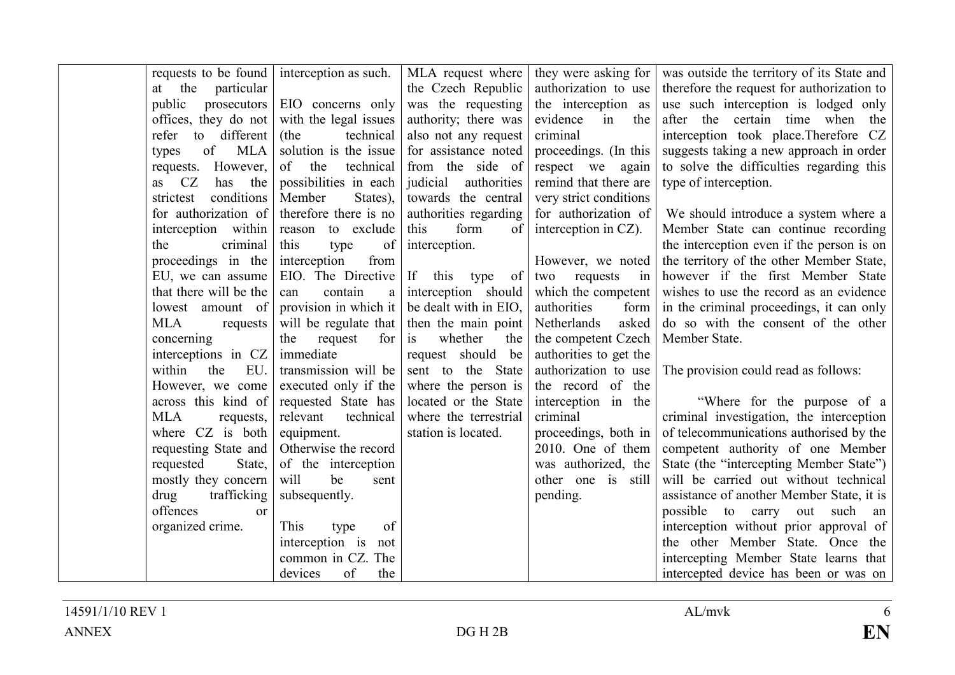| requests to be found interception as such. |                            | MLA request where       |                        | they were asking for was outside the territory of its State and |
|--------------------------------------------|----------------------------|-------------------------|------------------------|-----------------------------------------------------------------|
| at the particular                          |                            | the Czech Republic      | authorization to use   | therefore the request for authorization to                      |
| public<br>prosecutors                      | EIO concerns only          | was the requesting      | the interception as    | use such interception is lodged only                            |
| offices, they do not                       | with the legal issues      | authority; there was    | evidence<br>in<br>the  | after the certain time when<br>the                              |
| to different<br>refer                      | technical<br>(the          | also not any request    | criminal               | interception took place. Therefore CZ                           |
| of<br>MLA<br>types                         | solution is the issue      | for assistance noted    | proceedings. (In this  | suggests taking a new approach in order                         |
| However,<br>requests.                      | of the<br>technical        | from the side of        | respect we again       | to solve the difficulties regarding this                        |
| CZ<br>has the<br>as                        | possibilities in each      | judicial<br>authorities | remind that there are  | type of interception.                                           |
| conditions<br>strictest                    | Member<br>States),         | towards the central     | very strict conditions |                                                                 |
| for authorization of                       | therefore there is no      | authorities regarding   | for authorization of   | We should introduce a system where a                            |
| interception within                        | reason to exclude          | form<br>of<br>this      | interception in CZ).   | Member State can continue recording                             |
| criminal<br>the                            | this<br>type<br>of         | interception.           |                        | the interception even if the person is on                       |
| proceedings in the                         | interception<br>from       |                         | However, we noted      | the territory of the other Member State,                        |
| EU, we can assume                          | EIO. The Directive         | If this type of         | two requests in        | however if the first Member State                               |
| that there will be the                     | contain<br>can<br>$\rm{a}$ | interception should     | which the competent    | wishes to use the record as an evidence                         |
| lowest amount of                           | provision in which it      | be dealt with in EIO,   | authorities<br>form    | in the criminal proceedings, it can only                        |
| MLA<br>requests                            | will be regulate that      | then the main point     | asked<br>Netherlands   | do so with the consent of the other                             |
| concerning                                 | the<br>request<br>for      | whether<br>is<br>the    | the competent Czech    | Member State.                                                   |
| interceptions in CZ                        | immediate                  | request should be       | authorities to get the |                                                                 |
| the<br>EU.<br>within                       | transmission will be       | sent to the State       | authorization to use   | The provision could read as follows:                            |
| However, we come                           | executed only if the       | where the person is     | the record of the      |                                                                 |
| across this kind of                        | requested State has        | located or the State    | interception in the    | "Where for the purpose of a                                     |
| <b>MLA</b><br>requests,                    | technical<br>relevant      | where the terrestrial   | criminal               | criminal investigation, the interception                        |
| where CZ is both                           | equipment.                 | station is located.     | proceedings, both in   | of telecommunications authorised by the                         |
| requesting State and                       | Otherwise the record       |                         | 2010. One of them      | competent authority of one Member                               |
| requested<br>State,                        | of the interception        |                         | was authorized, the    | State (the "intercepting Member State")                         |
| mostly they concern                        | be<br>will<br>sent         |                         | other one is still     | will be carried out without technical                           |
| drug<br>trafficking                        | subsequently.              |                         | pending.               | assistance of another Member State, it is                       |
| offences<br>$\alpha$                       |                            |                         |                        | possible to carry out such<br>an                                |
| organized crime.                           | This<br>of<br>type         |                         |                        | interception without prior approval of                          |
|                                            | interception is<br>not     |                         |                        | the other Member State. Once the                                |
|                                            | common in CZ. The          |                         |                        | intercepting Member State learns that                           |
|                                            | of<br>devices<br>the       |                         |                        | intercepted device has been or was on                           |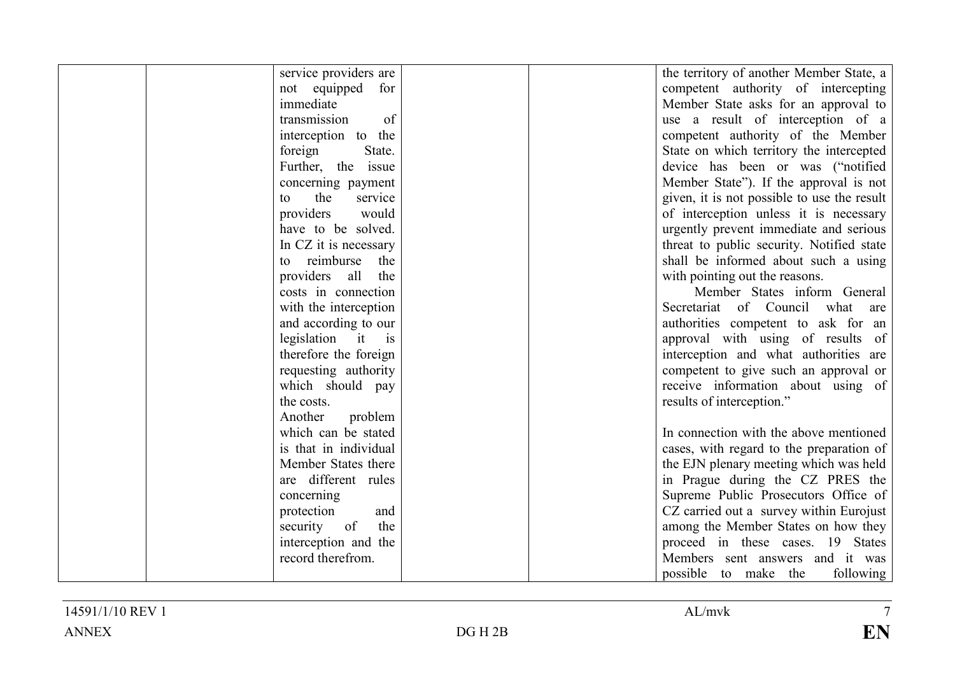| service providers are | the territory of another Member State, a    |
|-----------------------|---------------------------------------------|
| not equipped for      | competent authority of intercepting         |
| immediate             | Member State asks for an approval to        |
| of<br>transmission    | use a result of interception of a           |
| interception to the   | competent authority of the Member           |
| State.<br>foreign     | State on which territory the intercepted    |
| Further, the issue    | device has been or was ("notified           |
| concerning payment    | Member State"). If the approval is not      |
| the<br>service<br>to  | given, it is not possible to use the result |
| providers<br>would    | of interception unless it is necessary      |
| have to be solved.    | urgently prevent immediate and serious      |
| In CZ it is necessary | threat to public security. Notified state   |
| to reimburse<br>the   | shall be informed about such a using        |
| providers all<br>the  | with pointing out the reasons.              |
| costs in connection   | Member States inform General                |
| with the interception | Secretariat of Council what are             |
| and according to our  | authorities competent to ask for an         |
| legislation it is     | approval with using of results of           |
| therefore the foreign | interception and what authorities are       |
| requesting authority  | competent to give such an approval or       |
| which should pay      | receive information about using of          |
| the costs.            | results of interception."                   |
| Another<br>problem    |                                             |
| which can be stated   | In connection with the above mentioned      |
| is that in individual | cases, with regard to the preparation of    |
| Member States there   | the EJN plenary meeting which was held      |
| are different rules   | in Prague during the CZ PRES the            |
| concerning            | Supreme Public Prosecutors Office of        |
| protection<br>and     | CZ carried out a survey within Eurojust     |
| the<br>of<br>security | among the Member States on how they         |
| interception and the  | proceed in these cases. 19 States           |
| record therefrom.     | Members sent answers and it was             |
|                       | following<br>possible to make the           |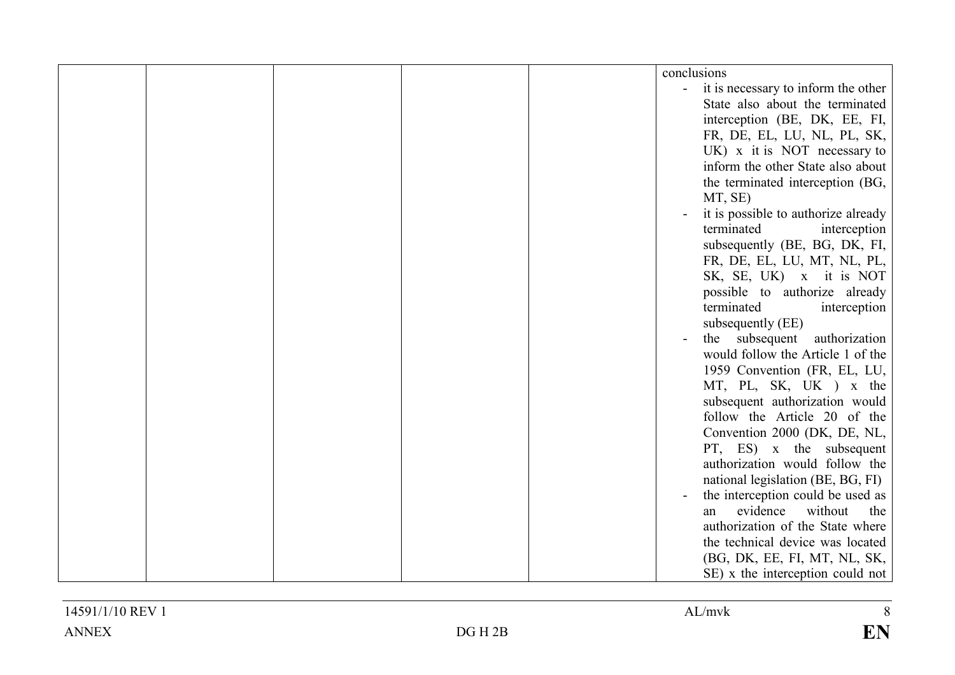|  |  | conclusions                         |
|--|--|-------------------------------------|
|  |  | it is necessary to inform the other |
|  |  | State also about the terminated     |
|  |  | interception (BE, DK, EE, FI,       |
|  |  | FR, DE, EL, LU, NL, PL, SK,         |
|  |  | $UK)$ x it is NOT necessary to      |
|  |  | inform the other State also about   |
|  |  | the terminated interception (BG,    |
|  |  | MT, SE)                             |
|  |  | it is possible to authorize already |
|  |  |                                     |
|  |  | terminated<br>interception          |
|  |  | subsequently (BE, BG, DK, FI,       |
|  |  | FR, DE, EL, LU, MT, NL, PL,         |
|  |  | SK, SE, UK) x it is NOT             |
|  |  | possible to authorize already       |
|  |  | terminated<br>interception          |
|  |  | subsequently (EE)                   |
|  |  | authorization<br>the subsequent     |
|  |  | would follow the Article 1 of the   |
|  |  | 1959 Convention (FR, EL, LU,        |
|  |  | MT, PL, SK, UK ) x the              |
|  |  | subsequent authorization would      |
|  |  | follow the Article 20 of the        |
|  |  | Convention 2000 (DK, DE, NL,        |
|  |  | PT, ES) x the subsequent            |
|  |  | authorization would follow the      |
|  |  | national legislation (BE, BG, FI)   |
|  |  | the interception could be used as   |
|  |  | evidence<br>without<br>the<br>an    |
|  |  | authorization of the State where    |
|  |  | the technical device was located    |
|  |  | (BG, DK, EE, FI, MT, NL, SK,        |
|  |  | SE) x the interception could not    |
|  |  |                                     |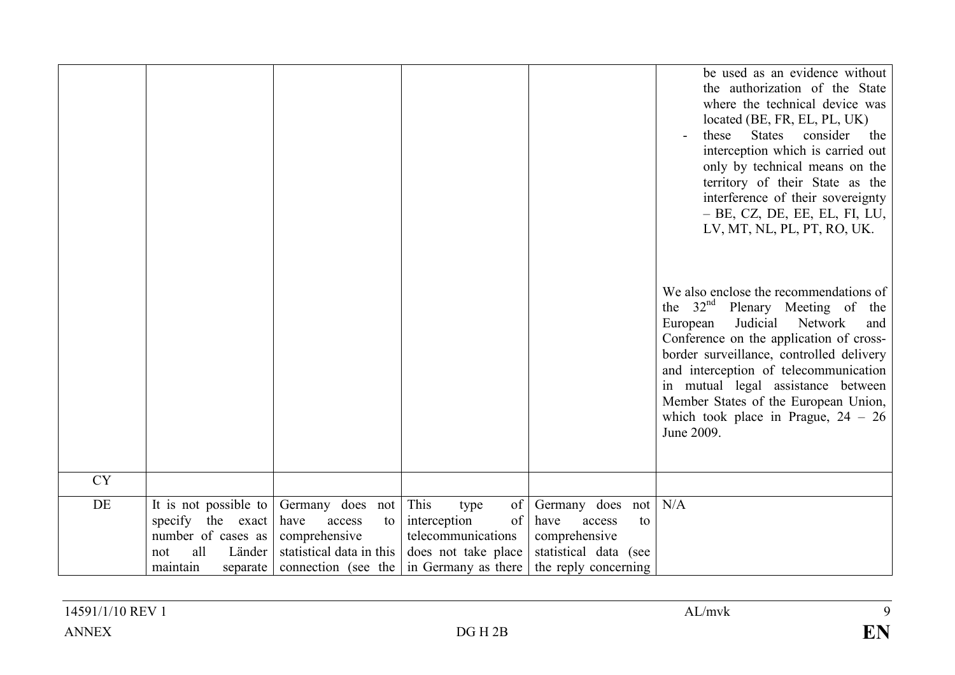|           |                       |                          |                                     |                       | be used as an evidence without<br>the authorization of the State<br>where the technical device was<br>located (BE, FR, EL, PL, UK)<br>these<br><b>States</b><br>consider<br>the<br>interception which is carried out<br>only by technical means on the<br>territory of their State as the<br>interference of their sovereignty<br>- BE, CZ, DE, EE, EL, FI, LU,<br>LV, MT, NL, PL, PT, RO, UK.<br>We also enclose the recommendations of<br>the 32 <sup>nd</sup> Plenary Meeting of the<br>Judicial<br>Network<br>European<br>and<br>Conference on the application of cross-<br>border surveillance, controlled delivery<br>and interception of telecommunication<br>in mutual legal assistance between<br>Member States of the European Union,<br>which took place in Prague, $24 - 26$<br>June 2009. |
|-----------|-----------------------|--------------------------|-------------------------------------|-----------------------|--------------------------------------------------------------------------------------------------------------------------------------------------------------------------------------------------------------------------------------------------------------------------------------------------------------------------------------------------------------------------------------------------------------------------------------------------------------------------------------------------------------------------------------------------------------------------------------------------------------------------------------------------------------------------------------------------------------------------------------------------------------------------------------------------------|
| <b>CY</b> |                       |                          |                                     |                       |                                                                                                                                                                                                                                                                                                                                                                                                                                                                                                                                                                                                                                                                                                                                                                                                        |
| DE        | It is not possible to | Germany does not         | This<br>of <sub>1</sub><br>type     | Germany does not N/A  |                                                                                                                                                                                                                                                                                                                                                                                                                                                                                                                                                                                                                                                                                                                                                                                                        |
|           | specify the exact     | have<br>access<br>to     | $\sigma$ of $\vert$<br>interception | have<br>access<br>to  |                                                                                                                                                                                                                                                                                                                                                                                                                                                                                                                                                                                                                                                                                                                                                                                                        |
|           | number of cases as    | comprehensive            | telecommunications                  | comprehensive         |                                                                                                                                                                                                                                                                                                                                                                                                                                                                                                                                                                                                                                                                                                                                                                                                        |
|           | all<br>Länder<br>not  | statistical data in this | does not take place                 | statistical data (see |                                                                                                                                                                                                                                                                                                                                                                                                                                                                                                                                                                                                                                                                                                                                                                                                        |
|           | maintain<br>separate  | connection (see the      | in Germany as there                 | the reply concerning  |                                                                                                                                                                                                                                                                                                                                                                                                                                                                                                                                                                                                                                                                                                                                                                                                        |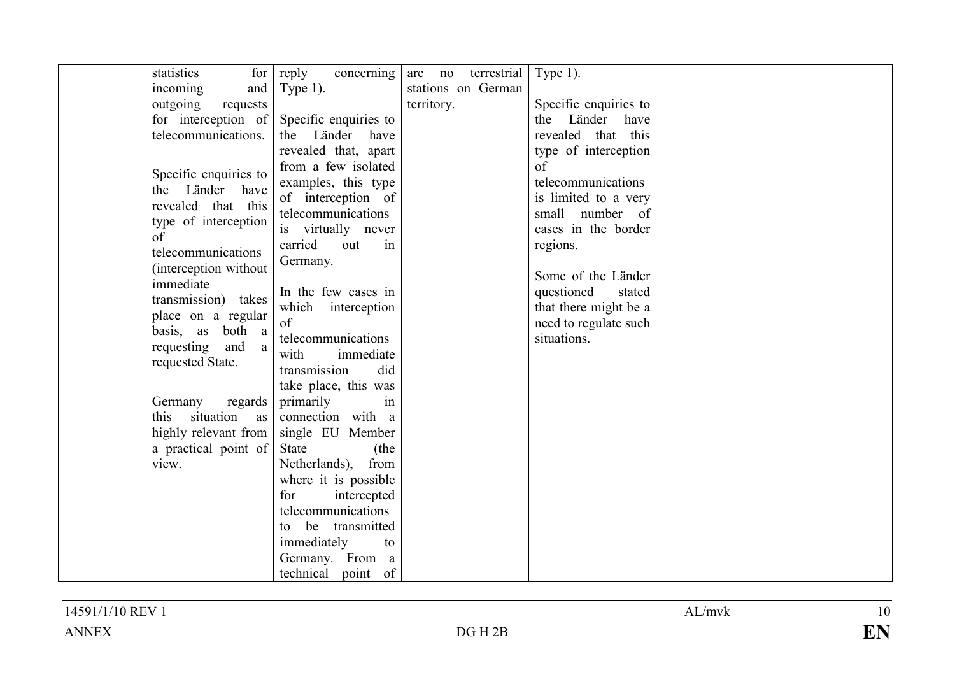| statistics                         | for                           | reply<br>concerning are no terrestrial |            |                    | Type 1).              |  |
|------------------------------------|-------------------------------|----------------------------------------|------------|--------------------|-----------------------|--|
| incoming                           | and                           | Type $1$ ).                            |            | stations on German |                       |  |
| outgoing                           | requests                      |                                        | territory. |                    | Specific enquiries to |  |
| for interception of                |                               | Specific enquiries to                  |            |                    | Länder have<br>the    |  |
| telecommunications.                |                               | the Länder have                        |            |                    | revealed that this    |  |
|                                    |                               | revealed that, apart                   |            |                    | type of interception  |  |
|                                    |                               | from a few isolated                    |            |                    | of                    |  |
| Specific enquiries to              |                               | examples, this type                    |            |                    | telecommunications    |  |
| the                                | Länder have                   | of interception of                     |            |                    | is limited to a very  |  |
| revealed that this                 |                               | telecommunications                     |            |                    | small number of       |  |
| type of interception               |                               | is virtually never                     |            |                    | cases in the border   |  |
| of                                 |                               | carried<br>in<br>out                   |            |                    | regions.              |  |
| telecommunications                 |                               | Germany.                               |            |                    |                       |  |
| (interception without<br>immediate |                               |                                        |            |                    | Some of the Länder    |  |
|                                    |                               | In the few cases in                    |            |                    | questioned<br>stated  |  |
| transmission) takes                |                               | which interception                     |            |                    | that there might be a |  |
| place on a regular                 |                               | of                                     |            |                    | need to regulate such |  |
| basis, as                          | both a<br>and<br><sub>a</sub> | telecommunications                     |            |                    | situations.           |  |
| requesting<br>requested State.     |                               | with<br>immediate                      |            |                    |                       |  |
|                                    |                               | transmission<br>did                    |            |                    |                       |  |
|                                    |                               | take place, this was                   |            |                    |                       |  |
| Germany                            | regards                       | primarily<br>in                        |            |                    |                       |  |
| this situation                     | as                            | connection with a                      |            |                    |                       |  |
| highly relevant from               |                               | single EU Member                       |            |                    |                       |  |
| a practical point of               |                               | <b>State</b><br>(the                   |            |                    |                       |  |
| view.                              |                               | Netherlands), from                     |            |                    |                       |  |
|                                    |                               | where it is possible                   |            |                    |                       |  |
|                                    |                               | for<br>intercepted                     |            |                    |                       |  |
|                                    |                               | telecommunications                     |            |                    |                       |  |
|                                    |                               | to be transmitted                      |            |                    |                       |  |
|                                    |                               | immediately<br>to                      |            |                    |                       |  |
|                                    |                               | Germany. From a                        |            |                    |                       |  |
|                                    |                               | technical point of                     |            |                    |                       |  |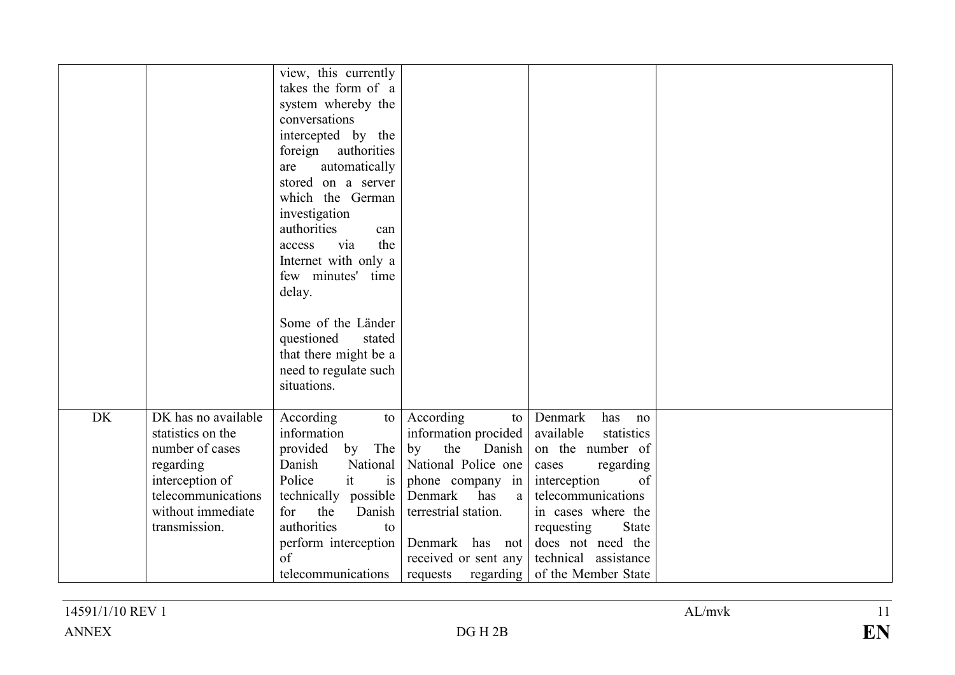|           |                                                                                                                                                         | view, this currently<br>takes the form of a<br>system whereby the<br>conversations<br>intercepted by the<br>foreign authorities<br>automatically<br>are<br>stored on a server<br>which the German<br>investigation<br>authorities<br>can<br>the<br>via<br>access<br>Internet with only a<br>few minutes' time<br>delay.<br>Some of the Länder<br>questioned<br>stated<br>that there might be a<br>need to regulate such<br>situations. |                                                                                                                                                                                                                                         |                                                                                                                                                                                                                                                        |  |
|-----------|---------------------------------------------------------------------------------------------------------------------------------------------------------|----------------------------------------------------------------------------------------------------------------------------------------------------------------------------------------------------------------------------------------------------------------------------------------------------------------------------------------------------------------------------------------------------------------------------------------|-----------------------------------------------------------------------------------------------------------------------------------------------------------------------------------------------------------------------------------------|--------------------------------------------------------------------------------------------------------------------------------------------------------------------------------------------------------------------------------------------------------|--|
|           |                                                                                                                                                         |                                                                                                                                                                                                                                                                                                                                                                                                                                        |                                                                                                                                                                                                                                         |                                                                                                                                                                                                                                                        |  |
| <b>DK</b> | DK has no available<br>statistics on the<br>number of cases<br>regarding<br>interception of<br>telecommunications<br>without immediate<br>transmission. | According<br>to<br>information<br>The<br>provided<br>by<br>Danish<br>it<br>Police<br>is<br>technically possible<br>the<br>for<br>Danish<br>authorities<br>to<br>perform interception<br>of<br>telecommunications                                                                                                                                                                                                                       | According<br>to<br>information procided<br>the<br>by<br>Danish<br>National   National Police one<br>phone company in<br>Denmark<br>has<br>a<br>terrestrial station.<br>Denmark has not<br>received or sent any<br>regarding<br>requests | Denmark<br>has<br>no<br>available<br>statistics<br>on the number of<br>regarding<br>cases<br>of<br>interception<br>telecommunications<br>in cases where the<br>State<br>requesting<br>does not need the<br>technical assistance<br>of the Member State |  |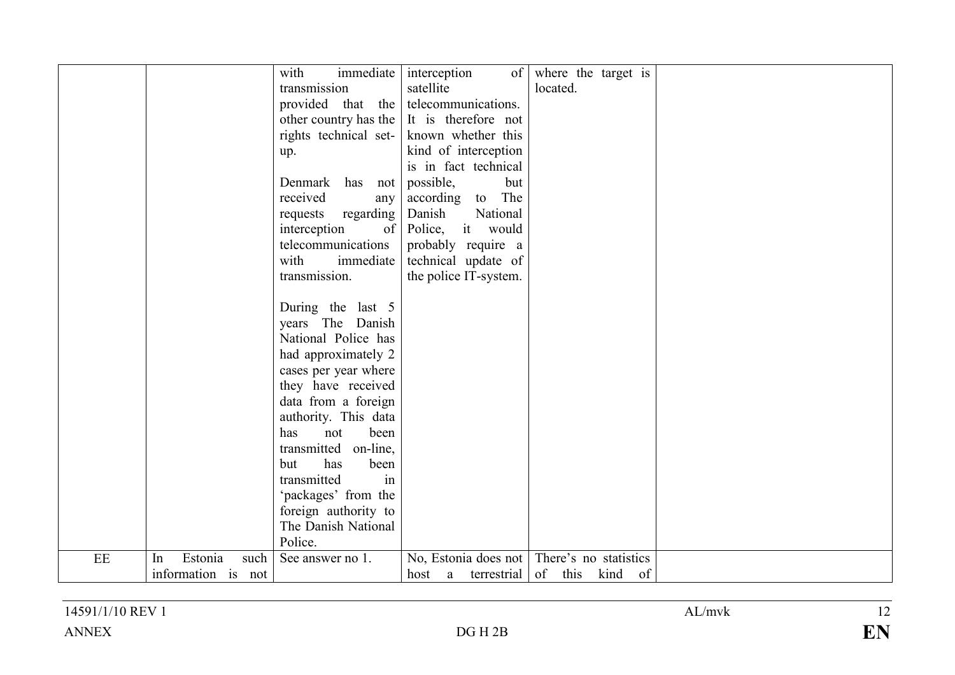|    |                                             | immediate<br>with<br>transmission<br>provided that the<br>other country has the<br>rights technical set-<br>up.<br>Denmark has not<br>received<br>any<br>requests regarding<br>of<br>interception<br>telecommunications<br>with<br>immediate<br>transmission.<br>During the last 5<br>years The Danish<br>National Police has<br>had approximately 2<br>cases per year where<br>they have received<br>data from a foreign<br>authority. This data<br>been<br>has<br>not | interception<br>$\sigma$ of $\sigma$<br>satellite<br>telecommunications.<br>It is therefore not<br>known whether this<br>kind of interception<br>is in fact technical<br>possible,<br>but<br>according to The<br>Danish<br>National<br>Police, it would<br>probably require a<br>technical update of<br>the police IT-system. | where the target is<br>located.             |  |
|----|---------------------------------------------|-------------------------------------------------------------------------------------------------------------------------------------------------------------------------------------------------------------------------------------------------------------------------------------------------------------------------------------------------------------------------------------------------------------------------------------------------------------------------|-------------------------------------------------------------------------------------------------------------------------------------------------------------------------------------------------------------------------------------------------------------------------------------------------------------------------------|---------------------------------------------|--|
|    |                                             | transmitted on-line,                                                                                                                                                                                                                                                                                                                                                                                                                                                    |                                                                                                                                                                                                                                                                                                                               |                                             |  |
|    |                                             | has<br>but<br>been<br>transmitted<br>in<br>'packages' from the<br>foreign authority to<br>The Danish National<br>Police.                                                                                                                                                                                                                                                                                                                                                |                                                                                                                                                                                                                                                                                                                               |                                             |  |
| EE | Estonia<br>such<br>In<br>information is not | See answer no 1.                                                                                                                                                                                                                                                                                                                                                                                                                                                        | No, Estonia does not<br>terrestrial<br>host a                                                                                                                                                                                                                                                                                 | There's no statistics<br>of this<br>kind of |  |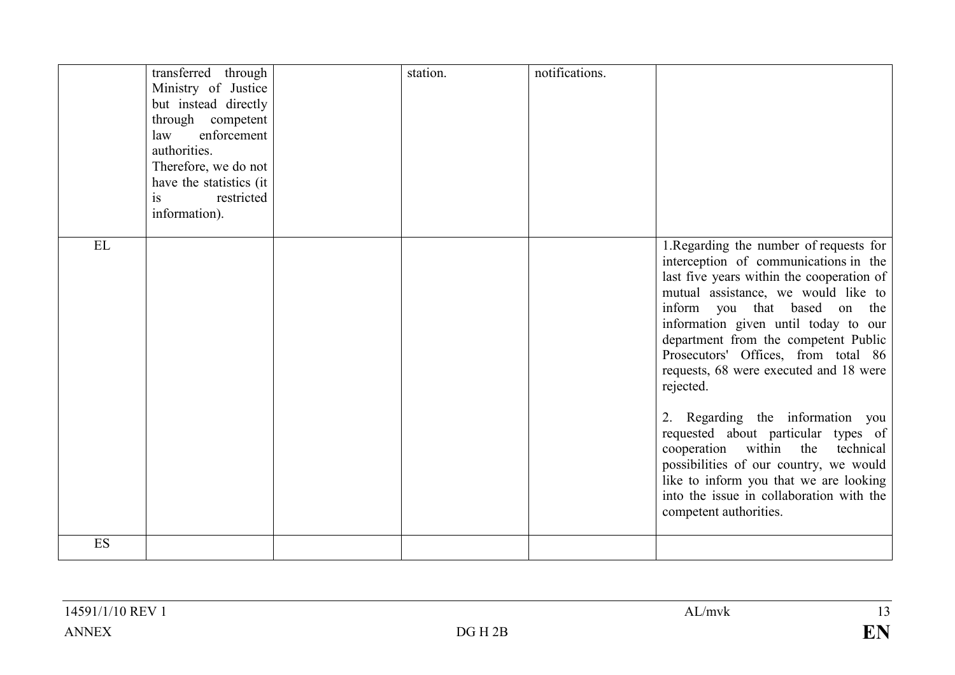|    | transferred through<br>Ministry of Justice<br>but instead directly<br>through competent<br>enforcement<br>law<br>authorities.<br>Therefore, we do not<br>have the statistics (it)<br>is<br>restricted<br>information). | station. | notifications. |                                                                                                                                                                                                                                                                                                                                                                                                                                                                                                                                                                                                                                                                |
|----|------------------------------------------------------------------------------------------------------------------------------------------------------------------------------------------------------------------------|----------|----------------|----------------------------------------------------------------------------------------------------------------------------------------------------------------------------------------------------------------------------------------------------------------------------------------------------------------------------------------------------------------------------------------------------------------------------------------------------------------------------------------------------------------------------------------------------------------------------------------------------------------------------------------------------------------|
| EL |                                                                                                                                                                                                                        |          |                | 1. Regarding the number of requests for<br>interception of communications in the<br>last five years within the cooperation of<br>mutual assistance, we would like to<br>inform you that based on the<br>information given until today to our<br>department from the competent Public<br>Prosecutors' Offices, from total 86<br>requests, 68 were executed and 18 were<br>rejected.<br>2. Regarding the information you<br>requested about particular types of<br>cooperation within the<br>technical<br>possibilities of our country, we would<br>like to inform you that we are looking<br>into the issue in collaboration with the<br>competent authorities. |
| ES |                                                                                                                                                                                                                        |          |                |                                                                                                                                                                                                                                                                                                                                                                                                                                                                                                                                                                                                                                                                |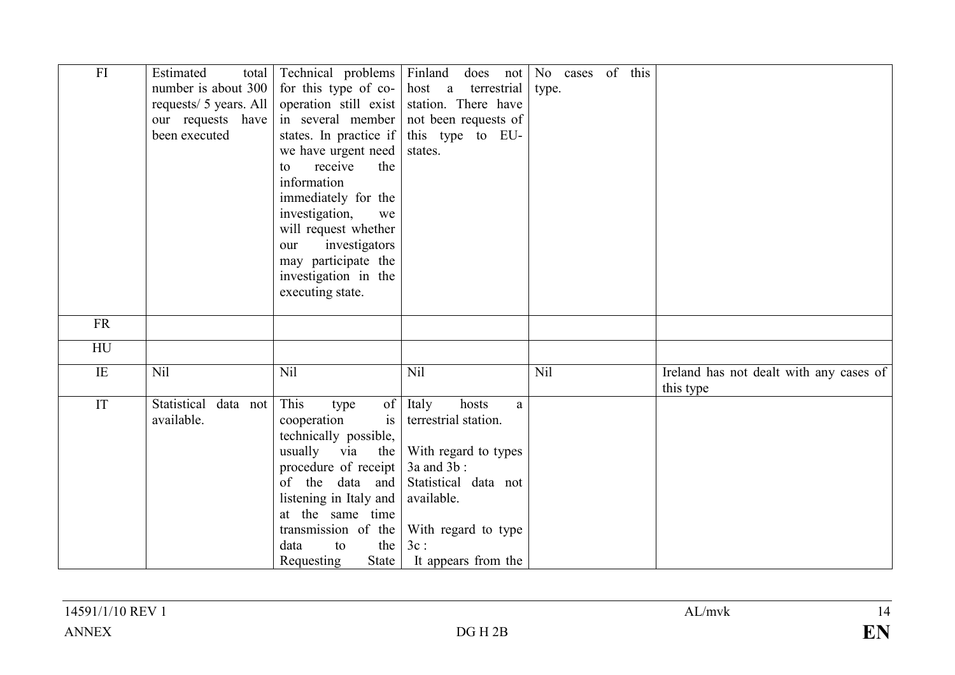| FI              | Estimated<br>total<br>number is about 300<br>requests/ 5 years. All<br>our requests have<br>been executed | Technical problems Finland<br>for this type of co-<br>operation still exist<br>in several member<br>states. In practice if<br>we have urgent need<br>receive<br>the<br>to<br>information<br>immediately for the<br>investigation,<br>we<br>will request whether<br>investigators<br>our<br>may participate the<br>investigation in the<br>executing state. | does not<br>terrestrial<br>host a<br>station. There have<br>not been requests of<br>this type to EU-<br>states.                                                                   | of this<br>No cases<br>type. |                                                      |
|-----------------|-----------------------------------------------------------------------------------------------------------|------------------------------------------------------------------------------------------------------------------------------------------------------------------------------------------------------------------------------------------------------------------------------------------------------------------------------------------------------------|-----------------------------------------------------------------------------------------------------------------------------------------------------------------------------------|------------------------------|------------------------------------------------------|
| <b>FR</b>       |                                                                                                           |                                                                                                                                                                                                                                                                                                                                                            |                                                                                                                                                                                   |                              |                                                      |
| HU              |                                                                                                           |                                                                                                                                                                                                                                                                                                                                                            |                                                                                                                                                                                   |                              |                                                      |
| $\overline{IE}$ | Nil                                                                                                       | Nil                                                                                                                                                                                                                                                                                                                                                        | Nil                                                                                                                                                                               | <b>Nil</b>                   | Ireland has not dealt with any cases of<br>this type |
| IT              | Statistical data not<br>available.                                                                        | This<br>of<br>type<br>is<br>cooperation<br>technically possible,<br>usually<br>via<br>the<br>procedure of receipt $\vert$<br>of the data and<br>listening in Italy and<br>at the same time<br>transmission of the<br>the<br>data<br>to<br>State<br>Requesting                                                                                              | hosts<br>Italy<br>a<br>terrestrial station.<br>With regard to types<br>$3a$ and $3b$ :<br>Statistical data not<br>available.<br>With regard to type<br>3c:<br>It appears from the |                              |                                                      |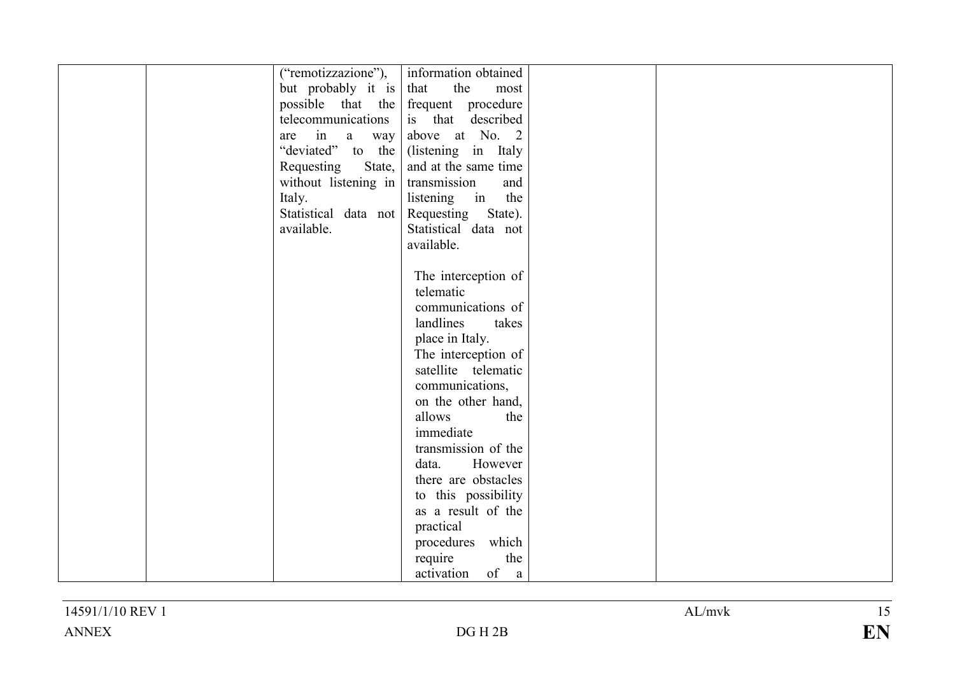| ("remotizzazione"),  | information obtained                    |  |
|----------------------|-----------------------------------------|--|
| but probably it is   | the<br>that<br>most                     |  |
|                      | possible that the frequent procedure    |  |
| telecommunications   | is that described                       |  |
| are in $a$ way       | above at No. 2                          |  |
| "deviated" to the    | (listening in Italy                     |  |
| State,<br>Requesting | and at the same time                    |  |
| without listening in | transmission<br>and                     |  |
| Italy.               | listening in the                        |  |
|                      | Statistical data not Requesting State). |  |
| available.           | Statistical data not                    |  |
|                      | available.                              |  |
|                      |                                         |  |
|                      | The interception of                     |  |
|                      | telematic                               |  |
|                      | communications of                       |  |
|                      | landlines<br>takes                      |  |
|                      | place in Italy.                         |  |
|                      | The interception of                     |  |
|                      | satellite telematic                     |  |
|                      |                                         |  |
|                      | communications,                         |  |
|                      | on the other hand,                      |  |
|                      | allows<br>the                           |  |
|                      | immediate                               |  |
|                      | transmission of the                     |  |
|                      | However<br>data.                        |  |
|                      | there are obstacles                     |  |
|                      | to this possibility                     |  |
|                      | as a result of the                      |  |
|                      | practical                               |  |
|                      | procedures which                        |  |
|                      | the<br>require                          |  |
|                      | of a<br>activation                      |  |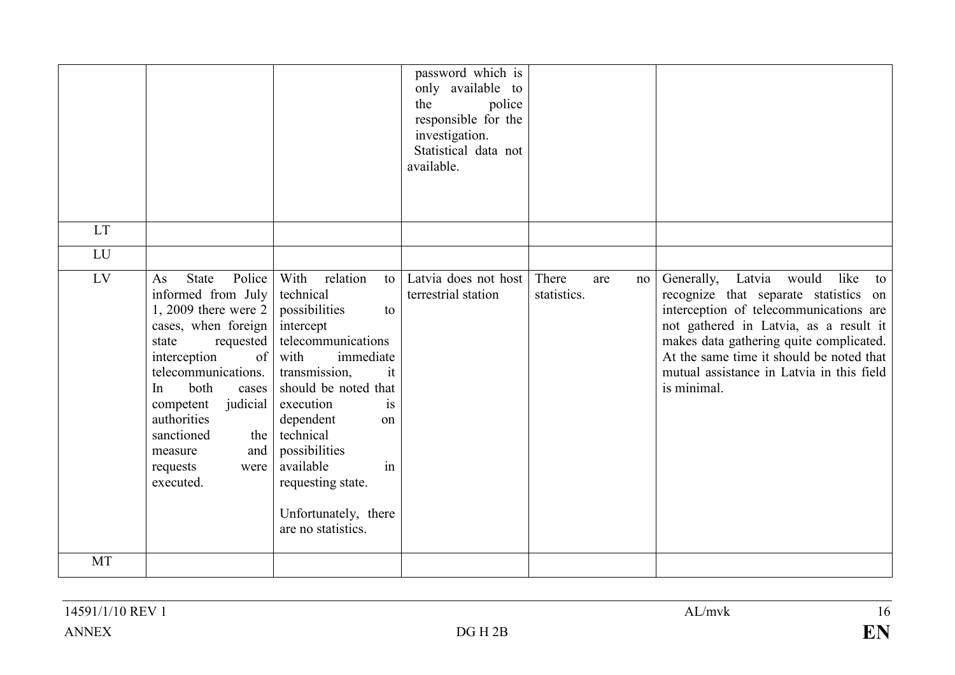|           |                                                                                                                                                                                                                                                                                                                   |                                                                                                                                                                                                                                                                                                                             | password which is<br>only available to<br>police<br>the<br>responsible for the<br>investigation.<br>Statistical data not<br>available. |                                   |                                                                                                                                                                                                                                                                                                                    |
|-----------|-------------------------------------------------------------------------------------------------------------------------------------------------------------------------------------------------------------------------------------------------------------------------------------------------------------------|-----------------------------------------------------------------------------------------------------------------------------------------------------------------------------------------------------------------------------------------------------------------------------------------------------------------------------|----------------------------------------------------------------------------------------------------------------------------------------|-----------------------------------|--------------------------------------------------------------------------------------------------------------------------------------------------------------------------------------------------------------------------------------------------------------------------------------------------------------------|
| <b>LT</b> |                                                                                                                                                                                                                                                                                                                   |                                                                                                                                                                                                                                                                                                                             |                                                                                                                                        |                                   |                                                                                                                                                                                                                                                                                                                    |
| LU        |                                                                                                                                                                                                                                                                                                                   |                                                                                                                                                                                                                                                                                                                             |                                                                                                                                        |                                   |                                                                                                                                                                                                                                                                                                                    |
| LV        | Police  <br><b>State</b><br>As<br>informed from July<br>$1, 2009$ there were 2<br>cases, when foreign<br>requested  <br>state<br>of<br>interception<br>telecommunications.<br>both<br>In<br>cases<br>judicial<br>competent<br>authorities<br>sanctioned<br>the<br>and<br>measure<br>requests<br>were<br>executed. | With<br>relation<br>to<br>technical<br>possibilities<br>to<br>intercept<br>telecommunications<br>with<br>immediate<br>transmission,<br>it<br>should be noted that<br>execution<br>is<br>dependent<br>on<br>technical<br>possibilities<br>in<br>available<br>requesting state.<br>Unfortunately, there<br>are no statistics. | Latvia does not host<br>terrestrial station                                                                                            | There<br>are<br>no<br>statistics. | Generally, Latvia would like<br>to<br>recognize that separate statistics on<br>interception of telecommunications are<br>not gathered in Latvia, as a result it<br>makes data gathering quite complicated.<br>At the same time it should be noted that<br>mutual assistance in Latvia in this field<br>is minimal. |
| MT        |                                                                                                                                                                                                                                                                                                                   |                                                                                                                                                                                                                                                                                                                             |                                                                                                                                        |                                   |                                                                                                                                                                                                                                                                                                                    |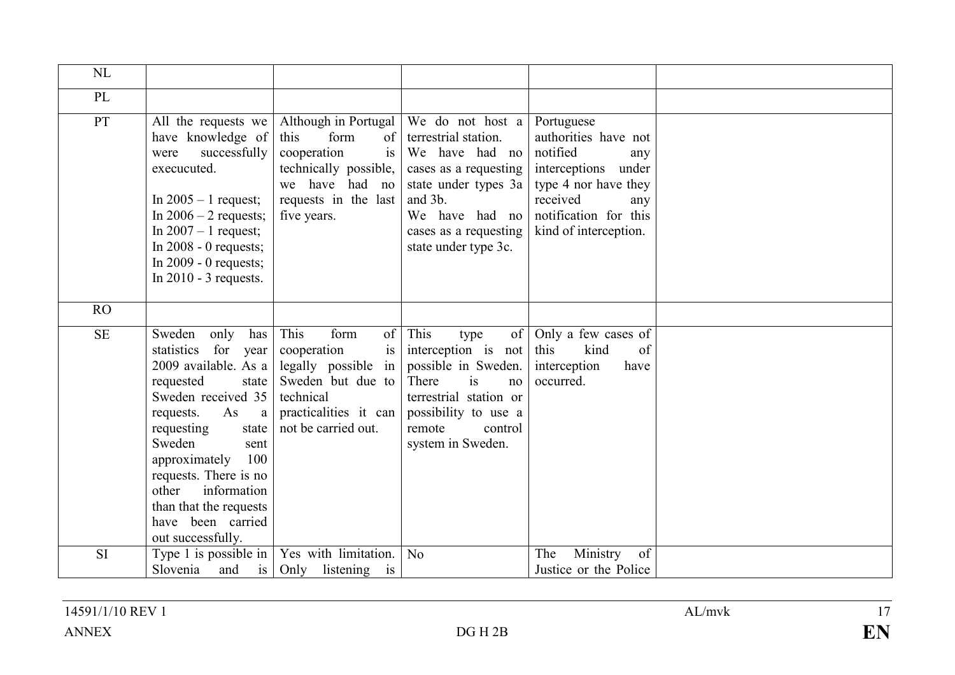| NL        |                                                                                                                                                                                                                                                                                                                                   |                                                                                                                                                                |                                                                                                                                                                                           |                                                                                                                                                                           |  |
|-----------|-----------------------------------------------------------------------------------------------------------------------------------------------------------------------------------------------------------------------------------------------------------------------------------------------------------------------------------|----------------------------------------------------------------------------------------------------------------------------------------------------------------|-------------------------------------------------------------------------------------------------------------------------------------------------------------------------------------------|---------------------------------------------------------------------------------------------------------------------------------------------------------------------------|--|
| PL        |                                                                                                                                                                                                                                                                                                                                   |                                                                                                                                                                |                                                                                                                                                                                           |                                                                                                                                                                           |  |
| PT        | All the requests we<br>have knowledge of<br>successfully<br>were<br>execucuted.<br>In $2005 - 1$ request;<br>In $2006 - 2$ requests;<br>In $2007 - 1$ request;<br>In $2008 - 0$ requests;<br>In $2009 - 0$ requests;<br>In $2010 - 3$ requests.                                                                                   | Although in Portugal<br>form<br>this<br>of <sup>2</sup><br>cooperation<br>is<br>technically possible,<br>we have had no<br>requests in the last<br>five years. | We do not host a<br>terrestrial station.<br>We have had no<br>cases as a requesting<br>state under types 3a<br>and 3b.<br>We have had no<br>cases as a requesting<br>state under type 3c. | Portuguese<br>authorities have not<br>notified<br>any<br>interceptions under<br>type 4 nor have they<br>received<br>any<br>notification for this<br>kind of interception. |  |
| RO        |                                                                                                                                                                                                                                                                                                                                   |                                                                                                                                                                |                                                                                                                                                                                           |                                                                                                                                                                           |  |
| <b>SE</b> | Sweden<br>only<br>has<br>statistics<br>for year<br>2009 available. As a<br>requested<br>state<br>Sweden received 35<br>requests.<br>As<br>a<br>requesting<br>state<br>Sweden<br>sent<br>100<br>approximately<br>requests. There is no<br>information<br>other<br>than that the requests<br>have been carried<br>out successfully. | This<br>form<br>of<br>cooperation<br>is<br>legally possible in<br>Sweden but due to<br>technical<br>practicalities it can<br>not be carried out.               | This<br>of<br>type<br>interception is not<br>possible in Sweden.<br>There<br>is<br>no<br>terrestrial station or<br>possibility to use a<br>remote<br>control<br>system in Sweden.         | Only a few cases of<br>this<br>kind<br>of<br>interception<br>have<br>occurred.                                                                                            |  |
| <b>SI</b> | Type 1 is possible in<br>Slovenia<br>and<br>is                                                                                                                                                                                                                                                                                    | Yes with limitation.<br>listening is<br>Only                                                                                                                   | N <sub>0</sub>                                                                                                                                                                            | Ministry<br>The<br>of<br>Justice or the Police                                                                                                                            |  |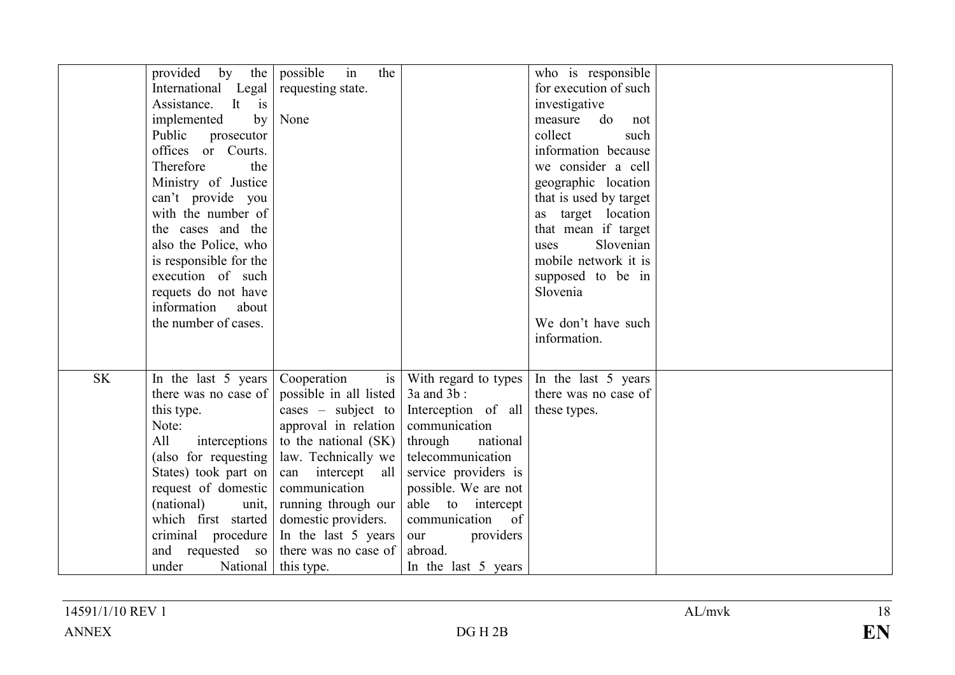|           | provided by the                        | in<br>the<br>possible                       |                             | who is responsible     |  |
|-----------|----------------------------------------|---------------------------------------------|-----------------------------|------------------------|--|
|           | International Legal                    | requesting state.                           |                             | for execution of such  |  |
|           | It is<br>Assistance.                   |                                             |                             | investigative          |  |
|           | implemented<br>by                      | None                                        |                             | do<br>measure<br>not   |  |
|           | Public<br>prosecutor                   |                                             |                             | collect<br>such        |  |
|           | offices or Courts.                     |                                             |                             | information because    |  |
|           | Therefore<br>the                       |                                             |                             | we consider a cell     |  |
|           | Ministry of Justice                    |                                             |                             | geographic location    |  |
|           | can't provide you                      |                                             |                             | that is used by target |  |
|           | with the number of                     |                                             |                             | as target location     |  |
|           | the cases and the                      |                                             |                             | that mean if target    |  |
|           | also the Police, who                   |                                             |                             | Slovenian<br>uses      |  |
|           | is responsible for the                 |                                             |                             | mobile network it is   |  |
|           | execution of such                      |                                             |                             | supposed to be in      |  |
|           | requets do not have                    |                                             |                             | Slovenia               |  |
|           | information<br>about                   |                                             |                             |                        |  |
|           | the number of cases.                   |                                             |                             | We don't have such     |  |
|           |                                        |                                             |                             | information.           |  |
|           |                                        |                                             |                             |                        |  |
| <b>SK</b> | In the last 5 years                    | Cooperation<br>is                           | With regard to types        | In the last 5 years    |  |
|           | there was no case of                   | possible in all listed                      | $3a$ and $3b$ :             | there was no case of   |  |
|           | this type.                             | cases $-$ subject to                        | Interception of all         | these types.           |  |
|           | Note:                                  | approval in relation                        | communication               |                        |  |
|           | All<br>interceptions                   | to the national (SK)                        | through<br>national         |                        |  |
|           | (also for requesting                   | law. Technically we                         | telecommunication           |                        |  |
|           | States) took part on                   | can intercept all                           | service providers is        |                        |  |
|           | request of domestic                    | communication                               | possible. We are not        |                        |  |
|           | (national)<br>unit.                    | running through our                         | able to intercept           |                        |  |
|           | which first started                    | domestic providers.                         | communication of            |                        |  |
|           |                                        |                                             |                             |                        |  |
|           | criminal procedure<br>and requested so | In the last 5 years<br>there was no case of | providers<br>our<br>abroad. |                        |  |
|           |                                        |                                             |                             |                        |  |
|           | under<br>National                      | this type.                                  | In the last 5 years         |                        |  |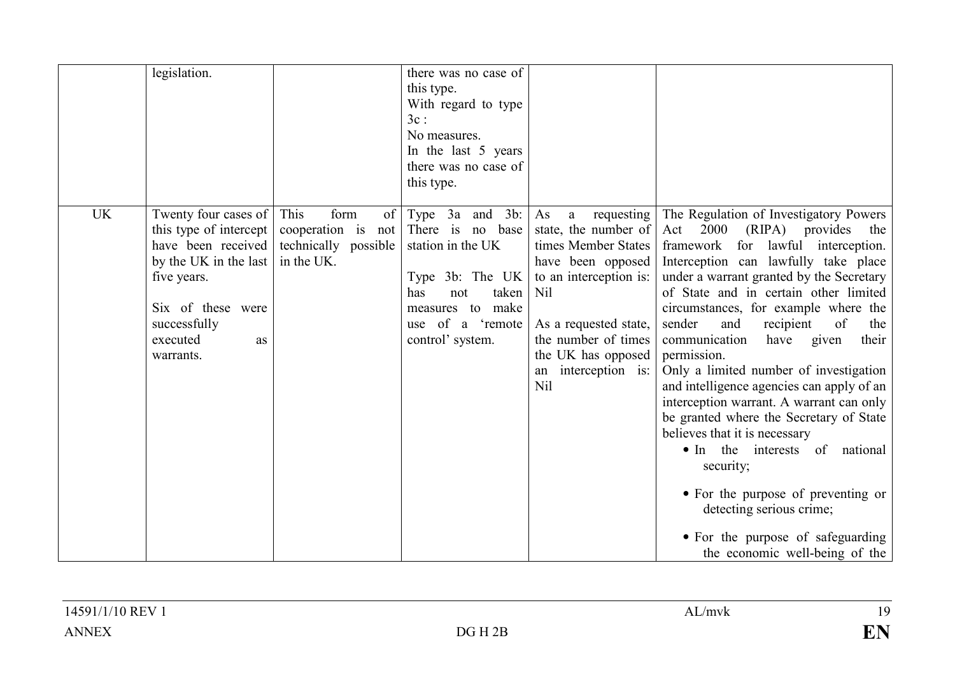| legislation.                                                                                                                                                                                  |                                                                                  | there was no case of<br>this type.<br>With regard to type<br>$3c$ :<br>No measures.<br>In the last 5 years<br>there was no case of                                                   |                                                                                                                                                                                                                                                      |                                                                                                                                                                                                                                                                                                                                                                                                                                                                                                                                                                                                                                                                                                                                                                                                                |
|-----------------------------------------------------------------------------------------------------------------------------------------------------------------------------------------------|----------------------------------------------------------------------------------|--------------------------------------------------------------------------------------------------------------------------------------------------------------------------------------|------------------------------------------------------------------------------------------------------------------------------------------------------------------------------------------------------------------------------------------------------|----------------------------------------------------------------------------------------------------------------------------------------------------------------------------------------------------------------------------------------------------------------------------------------------------------------------------------------------------------------------------------------------------------------------------------------------------------------------------------------------------------------------------------------------------------------------------------------------------------------------------------------------------------------------------------------------------------------------------------------------------------------------------------------------------------------|
| <b>UK</b><br>Twenty four cases of<br>this type of intercept<br>have been received<br>by the UK in the last<br>five years.<br>Six of these were<br>successfully<br>executed<br>as<br>warrants. | This<br>form<br>of  <br>cooperation is not<br>technically possible<br>in the UK. | this type.<br>$3a$ and $3b$ :<br>Type<br>There is no base<br>station in the UK<br>Type 3b: The UK<br>taken<br>has<br>not<br>measures to make<br>use of a 'remote<br>control' system. | As<br>requesting<br>a<br>state, the number of<br>times Member States<br>have been opposed<br>to an interception is:<br><b>Nil</b><br>As a requested state,<br>the number of times<br>the UK has opposed<br>interception is:<br>an<br>N <sub>il</sub> | The Regulation of Investigatory Powers<br>$Act \quad 2000 \quad (RIPA)$<br>provides<br>the<br>framework for lawful interception.<br>Interception can lawfully take place<br>under a warrant granted by the Secretary<br>of State and in certain other limited<br>circumstances, for example where the<br>sender<br>recipient<br>and<br>of<br>the<br>communication<br>have given<br>their<br>permission.<br>Only a limited number of investigation<br>and intelligence agencies can apply of an<br>interception warrant. A warrant can only<br>be granted where the Secretary of State<br>believes that it is necessary<br>• In the interests of national<br>security;<br>• For the purpose of preventing or<br>detecting serious crime;<br>• For the purpose of safeguarding<br>the economic well-being of the |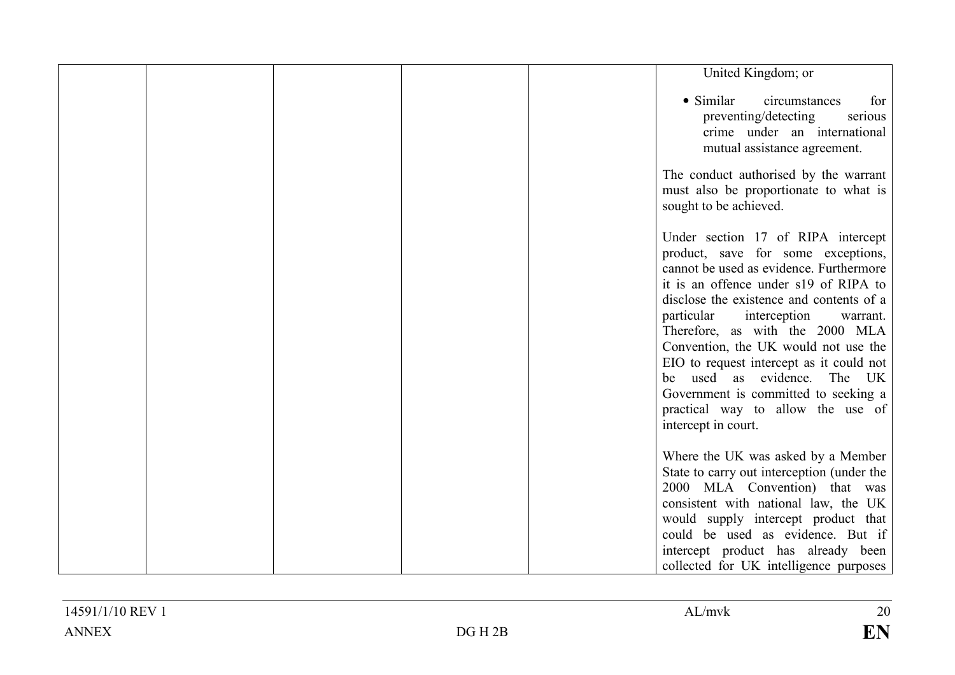|  |  | United Kingdom; or                                                                                                                                                                                                                                                                                                                                                                                                                                                                                              |
|--|--|-----------------------------------------------------------------------------------------------------------------------------------------------------------------------------------------------------------------------------------------------------------------------------------------------------------------------------------------------------------------------------------------------------------------------------------------------------------------------------------------------------------------|
|  |  | • Similar<br>circumstances<br>for<br>preventing/detecting<br>serious<br>crime under an international<br>mutual assistance agreement.                                                                                                                                                                                                                                                                                                                                                                            |
|  |  | The conduct authorised by the warrant<br>must also be proportionate to what is<br>sought to be achieved.                                                                                                                                                                                                                                                                                                                                                                                                        |
|  |  | Under section 17 of RIPA intercept<br>product, save for some exceptions,<br>cannot be used as evidence. Furthermore<br>it is an offence under s19 of RIPA to<br>disclose the existence and contents of a<br>particular<br>interception<br>warrant.<br>Therefore, as with the 2000 MLA<br>Convention, the UK would not use the<br>EIO to request intercept as it could not<br>be used as evidence.<br>The UK<br>Government is committed to seeking a<br>practical way to allow the use of<br>intercept in court. |
|  |  | Where the UK was asked by a Member<br>State to carry out interception (under the<br>2000 MLA Convention) that was<br>consistent with national law, the UK<br>would supply intercept product that<br>could be used as evidence. But if<br>intercept product has already been<br>collected for UK intelligence purposes                                                                                                                                                                                           |